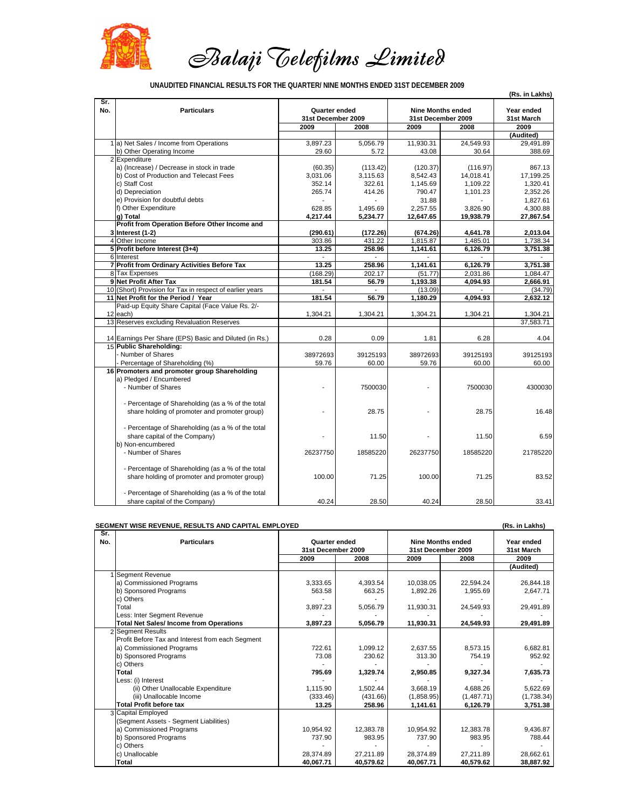

 *Balaji Telefilms Limited*

|--|

|            |                                                          |                    |                |                          |                    | (Rs. in Lakhs)           |
|------------|----------------------------------------------------------|--------------------|----------------|--------------------------|--------------------|--------------------------|
| Sr.<br>No. | <b>Particulars</b>                                       | Quarter ended      |                | <b>Nine Months ended</b> |                    | Year ended<br>31st March |
|            |                                                          | 31st December 2009 |                |                          | 31st December 2009 |                          |
|            |                                                          | 2009               | 2008           | 2009                     | 2008               | 2009                     |
|            |                                                          |                    |                |                          |                    | (Audited)                |
|            | 1 a) Net Sales / Income from Operations                  | 3,897.23           | 5,056.79       | 11,930.31                | 24,549.93          | 29,491.89                |
|            | b) Other Operating Income                                | 29.60              | 5.72           | 43.08                    | 30.64              | 388.69                   |
|            | 2 Expenditure                                            |                    |                |                          |                    |                          |
|            | a) (Increase) / Decrease in stock in trade               | (60.35)            | (113.42)       | (120.37)                 | (116.97)           | 867.13                   |
|            | b) Cost of Production and Telecast Fees                  | 3,031.06           | 3,115.63       | 8,542.43                 | 14,018.41          | 17,199.25                |
|            | c) Staff Cost                                            | 352.14             | 322.61         | 1,145.69                 | 1,109.22           | 1,320.41                 |
|            | d) Depreciation                                          | 265.74             | 414.26         | 790.47                   | 1,101.23           | 2,352.26                 |
|            | e) Provision for doubtful debts                          |                    |                | 31.88                    |                    | 1,827.61                 |
|            | f) Other Expenditure                                     | 628.85             | 1,495.69       | 2,257.55                 | 3,826.90           | 4,300.88                 |
|            | g) Total                                                 | 4,217.44           | 5,234.77       | 12,647.65                | 19,938.79          | 27,867.54                |
|            | Profit from Operation Before Other Income and            |                    |                |                          |                    |                          |
|            | 3 Interest (1-2)                                         | (290.61)           | (172.26)       | (674.26)                 | 4,641.78           | 2,013.04                 |
|            | 4 Other Income                                           | 303.86             | 431.22         | 1,815.87                 | 1,485.01           | 1,738.34                 |
|            | 5 Profit before Interest (3+4)                           | 13.25              | 258.96         | 1.141.61                 | 6.126.79           | 3.751.38                 |
|            | 6 Interest                                               | $\blacksquare$     | $\overline{a}$ |                          |                    |                          |
|            | 7 Profit from Ordinary Activities Before Tax             | 13.25              | 258.96         | 1,141.61                 | 6,126.79           | 3,751.38                 |
|            | 8 Tax Expenses                                           | (168.29)           | 202.17         | (51.77)                  | 2,031.86           | 1,084.47                 |
|            | 9 Net Profit After Tax                                   | 181.54             | 56.79          | 1,193.38                 | 4,094.93           | 2,666.91                 |
|            | 10 (Short) Provision for Tax in respect of earlier years |                    |                | (13.09)                  |                    | (34.79)                  |
|            | 11 Net Profit for the Period / Year                      | 181.54             | 56.79          | 1,180.29                 | 4,094.93           | 2,632.12                 |
|            | Paid-up Equity Share Capital (Face Value Rs. 2/-         |                    |                |                          |                    |                          |
|            | 12 each)                                                 | 1,304.21           | 1,304.21       | 1,304.21                 | 1,304.21           | 1,304.21                 |
|            | 13 Reserves excluding Revaluation Reserves               |                    |                |                          |                    | 37,583.71                |
|            |                                                          |                    |                |                          |                    |                          |
|            | 14 Earnings Per Share (EPS) Basic and Diluted (in Rs.)   | 0.28               | 0.09           | 1.81                     | 6.28               | 4.04                     |
|            | 15 Public Shareholding:                                  |                    |                |                          |                    |                          |
|            | - Number of Shares                                       | 38972693           | 39125193       | 38972693                 | 39125193           | 39125193                 |
|            | - Percentage of Shareholding (%)                         | 59.76              | 60.00          | 59.76                    | 60.00              | 60.00                    |
|            | 16 Promoters and promoter group Shareholding             |                    |                |                          |                    |                          |
|            | a) Pledged / Encumbered                                  |                    |                |                          |                    |                          |
|            | - Number of Shares                                       |                    | 7500030        |                          | 7500030            | 4300030                  |
|            |                                                          |                    |                |                          |                    |                          |
|            | - Percentage of Shareholding (as a % of the total        |                    |                |                          |                    |                          |
|            | share holding of promoter and promoter group)            |                    | 28.75          |                          | 28.75              | 16.48                    |
|            |                                                          |                    |                |                          |                    |                          |
|            | - Percentage of Shareholding (as a % of the total        |                    |                |                          |                    |                          |
|            | share capital of the Company)                            |                    | 11.50          |                          | 11.50              | 6.59                     |
|            | b) Non-encumbered                                        |                    |                |                          |                    |                          |
|            | - Number of Shares                                       | 26237750           | 18585220       | 26237750                 | 18585220           | 21785220                 |
|            |                                                          |                    |                |                          |                    |                          |
|            | - Percentage of Shareholding (as a % of the total        |                    |                |                          |                    |                          |
|            | share holding of promoter and promoter group)            | 100.00             | 71.25          | 100.00                   | 71.25              | 83.52                    |
|            |                                                          |                    |                |                          |                    |                          |
|            | - Percentage of Shareholding (as a % of the total        |                    |                |                          |                    |                          |
|            | share capital of the Company)                            | 40.24              | 28.50          | 40.24                    | 28.50              | 33.41                    |
|            |                                                          |                    |                |                          |                    |                          |

|            | SEGMENT WISE REVENUE, RESULTS AND CAPITAL EMPLOYED |                                     |           |                                                |            |                          |  |
|------------|----------------------------------------------------|-------------------------------------|-----------|------------------------------------------------|------------|--------------------------|--|
| Sr.<br>No. | <b>Particulars</b>                                 | Quarter ended<br>31st December 2009 |           | <b>Nine Months ended</b><br>31st December 2009 |            | Year ended<br>31st March |  |
|            |                                                    | 2009                                | 2008      | 2009                                           | 2008       | 2009                     |  |
|            |                                                    |                                     |           |                                                |            | (Audited)                |  |
|            | 1 Segment Revenue                                  |                                     |           |                                                |            |                          |  |
|            | a) Commissioned Programs                           | 3,333.65                            | 4,393.54  | 10,038.05                                      | 22,594.24  | 26,844.18                |  |
|            | b) Sponsored Programs                              | 563.58                              | 663.25    | 1,892.26                                       | 1,955.69   | 2,647.71                 |  |
|            | c) Others                                          |                                     |           |                                                |            |                          |  |
|            | Total                                              | 3,897.23                            | 5,056.79  | 11,930.31                                      | 24,549.93  | 29,491.89                |  |
|            | Less: Inter Segment Revenue                        |                                     |           |                                                |            |                          |  |
|            | <b>Total Net Sales/Income from Operations</b>      | 3,897.23                            | 5,056.79  | 11,930.31                                      | 24,549.93  | 29,491.89                |  |
|            | 2 Segment Results                                  |                                     |           |                                                |            |                          |  |
|            | Profit Before Tax and Interest from each Segment   |                                     |           |                                                |            |                          |  |
|            | a) Commissioned Programs                           | 722.61                              | 1,099.12  | 2,637.55                                       | 8,573.15   | 6,682.81                 |  |
|            | b) Sponsored Programs                              | 73.08                               | 230.62    | 313.30                                         | 754.19     | 952.92                   |  |
|            | c) Others                                          |                                     |           |                                                |            |                          |  |
|            | Total                                              | 795.69                              | 1,329.74  | 2,950.85                                       | 9,327.34   | 7,635.73                 |  |
|            | Less: (i) Interest                                 |                                     |           |                                                |            |                          |  |
|            | (ii) Other Unallocable Expenditure                 | 1.115.90                            | 1.502.44  | 3,668.19                                       | 4.688.26   | 5,622.69                 |  |
|            | (iii) Unallocable Income                           | (333.46)                            | (431.66)  | (1,858.95)                                     | (1,487.71) | (1,738.34)               |  |
|            | <b>Total Profit before tax</b>                     | 13.25                               | 258.96    | 1,141.61                                       | 6,126.79   | 3,751.38                 |  |
|            | 3 Capital Employed                                 |                                     |           |                                                |            |                          |  |
|            | (Segment Assets - Segment Liabilities)             |                                     |           |                                                |            |                          |  |
|            | a) Commissioned Programs                           | 10,954.92                           | 12,383.78 | 10,954.92                                      | 12,383.78  | 9,436.87                 |  |
|            | b) Sponsored Programs                              | 737.90                              | 983.95    | 737.90                                         | 983.95     | 788.44                   |  |
|            | c) Others                                          |                                     |           |                                                |            |                          |  |
|            | c) Unallocable                                     | 28.374.89                           | 27.211.89 | 28.374.89                                      | 27,211.89  | 28,662.61                |  |
|            | Total                                              | 40,067.71                           | 40,579.62 | 40,067.71                                      | 40,579.62  | 38,887.92                |  |